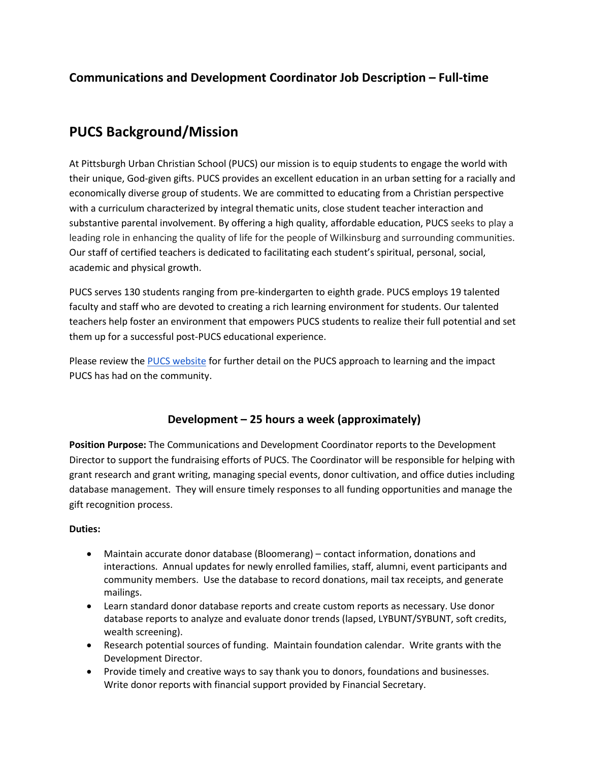# **Communications and Development Coordinator Job Description – Full-time**

# **PUCS Background/Mission**

At Pittsburgh Urban Christian School (PUCS) our mission is to equip students to engage the world with their unique, God-given gifts. PUCS provides an excellent education in an urban setting for a racially and economically diverse group of students. We are committed to educating from a Christian perspective with a curriculum characterized by integral thematic units, close student teacher interaction and substantive parental involvement. By offering a high quality, affordable education, PUCS seeks to play a leading role in enhancing the quality of life for the people of Wilkinsburg and surrounding communities. Our staff of certified teachers is dedicated to facilitating each student's spiritual, personal, social, academic and physical growth.

PUCS serves 130 students ranging from pre-kindergarten to eighth grade. PUCS employs 19 talented faculty and staff who are devoted to creating a rich learning environment for students. Our talented teachers help foster an environment that empowers PUCS students to realize their full potential and set them up for a successful post-PUCS educational experience.

Please review the [PUCS website](https://pucs.org/academics/) for further detail on the PUCS approach to learning and the impact PUCS has had on the community.

# **Development – 25 hours a week (approximately)**

**Position Purpose:** The Communications and Development Coordinator reports to the Development Director to support the fundraising efforts of PUCS. The Coordinator will be responsible for helping with grant research and grant writing, managing special events, donor cultivation, and office duties including database management. They will ensure timely responses to all funding opportunities and manage the gift recognition process.

## **Duties:**

- Maintain accurate donor database (Bloomerang) contact information, donations and interactions. Annual updates for newly enrolled families, staff, alumni, event participants and community members. Use the database to record donations, mail tax receipts, and generate mailings.
- Learn standard donor database reports and create custom reports as necessary. Use donor database reports to analyze and evaluate donor trends (lapsed, LYBUNT/SYBUNT, soft credits, wealth screening).
- Research potential sources of funding. Maintain foundation calendar. Write grants with the Development Director.
- Provide timely and creative ways to say thank you to donors, foundations and businesses. Write donor reports with financial support provided by Financial Secretary.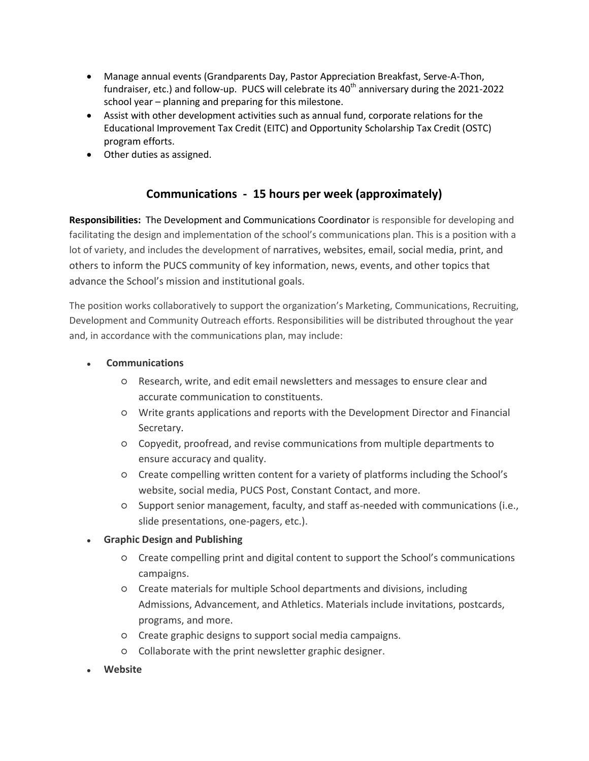- Manage annual events (Grandparents Day, Pastor Appreciation Breakfast, Serve-A-Thon, fundraiser, etc.) and follow-up. PUCS will celebrate its  $40<sup>th</sup>$  anniversary during the 2021-2022 school year – planning and preparing for this milestone.
- Assist with other development activities such as annual fund, corporate relations for the Educational Improvement Tax Credit (EITC) and Opportunity Scholarship Tax Credit (OSTC) program efforts.
- Other duties as assigned.

# **Communications - 15 hours per week (approximately)**

**Responsibilities:** The Development and Communications Coordinator is responsible for developing and facilitating the design and implementation of the school's communications plan. This is a position with a lot of variety, and includes the development of narratives, websites, email, social media, print, and others to inform the PUCS community of key information, news, events, and other topics that advance the School's mission and institutional goals.

The position works collaboratively to support the organization's Marketing, Communications, Recruiting, Development and Community Outreach efforts. Responsibilities will be distributed throughout the year and, in accordance with the communications plan, may include:

## ● **Communications**

- Research, write, and edit email newsletters and messages to ensure clear and accurate communication to constituents.
- Write grants applications and reports with the Development Director and Financial Secretary.
- Copyedit, proofread, and revise communications from multiple departments to ensure accuracy and quality.
- Create compelling written content for a variety of platforms including the School's website, social media, PUCS Post, Constant Contact, and more.
- Support senior management, faculty, and staff as-needed with communications (i.e., slide presentations, one-pagers, etc.).

## **Graphic Design and Publishing**

- Create compelling print and digital content to support the School's communications campaigns.
- Create materials for multiple School departments and divisions, including Admissions, Advancement, and Athletics. Materials include invitations, postcards, programs, and more.
- Create graphic designs to support social media campaigns.
- Collaborate with the print newsletter graphic designer.
- **Website**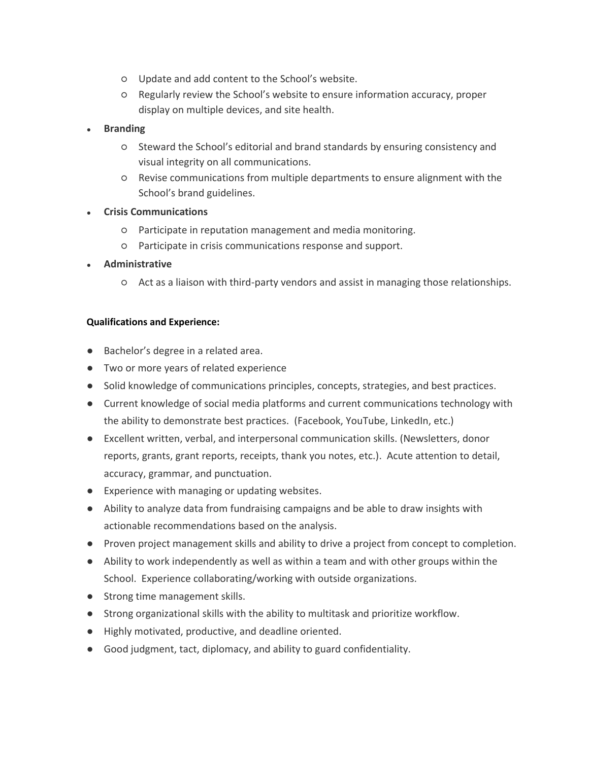- Update and add content to the School's website.
- Regularly review the School's website to ensure information accuracy, proper display on multiple devices, and site health.
- **Branding** 
	- Steward the School's editorial and brand standards by ensuring consistency and visual integrity on all communications.
	- Revise communications from multiple departments to ensure alignment with the School's brand guidelines.
- **Crisis Communications**
	- Participate in reputation management and media monitoring.
	- Participate in crisis communications response and support.
- **Administrative**
	- Act as a liaison with third-party vendors and assist in managing those relationships.

#### **Qualifications and Experience:**

- Bachelor's degree in a related area.
- Two or more years of related experience
- Solid knowledge of communications principles, concepts, strategies, and best practices.
- Current knowledge of social media platforms and current communications technology with the ability to demonstrate best practices. (Facebook, YouTube, LinkedIn, etc.)
- Excellent written, verbal, and interpersonal communication skills. (Newsletters, donor reports, grants, grant reports, receipts, thank you notes, etc.). Acute attention to detail, accuracy, grammar, and punctuation.
- Experience with managing or updating websites.
- Ability to analyze data from fundraising campaigns and be able to draw insights with actionable recommendations based on the analysis.
- Proven project management skills and ability to drive a project from concept to completion.
- Ability to work independently as well as within a team and with other groups within the School. Experience collaborating/working with outside organizations.
- Strong time management skills.
- Strong organizational skills with the ability to multitask and prioritize workflow.
- Highly motivated, productive, and deadline oriented.
- Good judgment, tact, diplomacy, and ability to guard confidentiality.